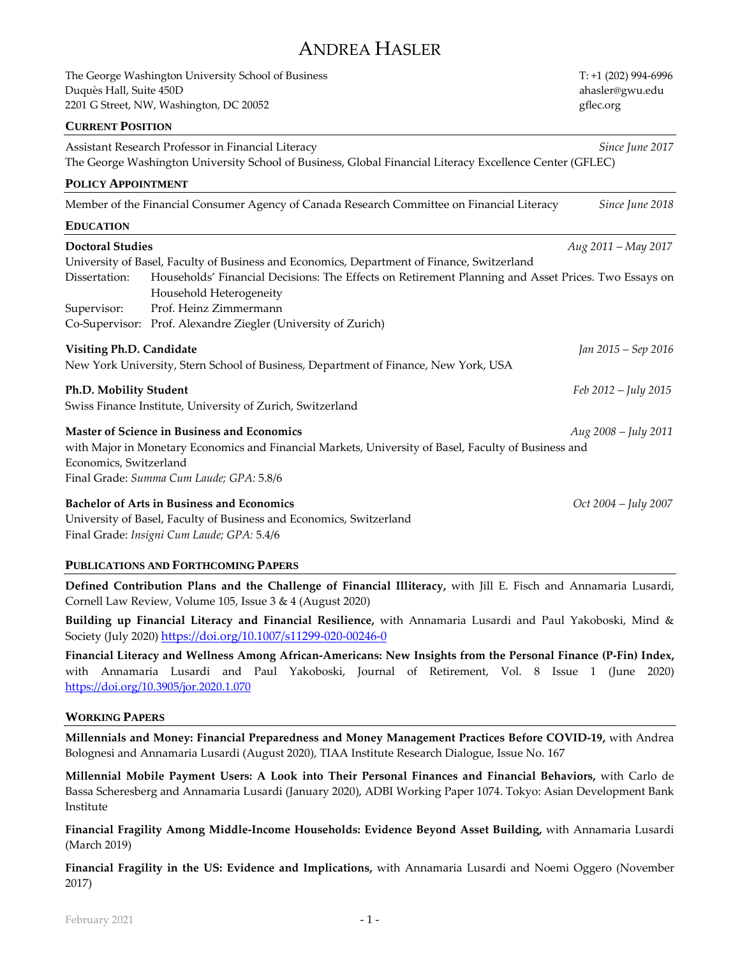# ANDREA HASLER

The George Washington University School of Business T: +1 (202) 994-6996 Duquès Hall, Suite 450D and the suite of the state of the state of the state of the state of the state of the state of the state of the state of the state of the state of the state of the state of the state of the state of 2201 G Street, NW, Washington, DC 20052 **gflection** and the street of the street of the street of the street of the street of the street of the street of the street of the street of the street of the street of the street o

# **CURRENT POSITION**

| Assistant Research Professor in Financial Literacy                                                                                              | Since June 2017        |
|-------------------------------------------------------------------------------------------------------------------------------------------------|------------------------|
| The George Washington University School of Business, Global Financial Literacy Excellence Center (GFLEC)                                        |                        |
| POLICY APPOINTMENT                                                                                                                              |                        |
| Member of the Financial Consumer Agency of Canada Research Committee on Financial Literacy                                                      | Since June 2018        |
| <b>EDUCATION</b>                                                                                                                                |                        |
| <b>Doctoral Studies</b>                                                                                                                         | Aug 2011 - May 2017    |
| University of Basel, Faculty of Business and Economics, Department of Finance, Switzerland                                                      |                        |
| Dissertation:<br>Households' Financial Decisions: The Effects on Retirement Planning and Asset Prices. Two Essays on<br>Household Heterogeneity |                        |
| Prof. Heinz Zimmermann<br>Supervisor:                                                                                                           |                        |
| Co-Supervisor: Prof. Alexandre Ziegler (University of Zurich)                                                                                   |                        |
| Visiting Ph.D. Candidate                                                                                                                        | Jan 2015 – Sep 2016    |
| New York University, Stern School of Business, Department of Finance, New York, USA                                                             |                        |
| Ph.D. Mobility Student                                                                                                                          | $Feb 2012 - July 2015$ |
| Swiss Finance Institute, University of Zurich, Switzerland                                                                                      |                        |
| <b>Master of Science in Business and Economics</b>                                                                                              | Aug 2008 - July 2011   |
| with Major in Monetary Economics and Financial Markets, University of Basel, Faculty of Business and                                            |                        |
| Economics, Switzerland                                                                                                                          |                        |
| Final Grade: Summa Cum Laude; GPA: 5.8/6                                                                                                        |                        |
| <b>Bachelor of Arts in Business and Economics</b>                                                                                               | $Oct$ 2004 – July 2007 |
|                                                                                                                                                 |                        |

University of Basel, Faculty of Business and Economics, Switzerland Final Grade: *Insigni Cum Laude; GPA:* 5.4/6

# **PUBLICATIONS AND FORTHCOMING PAPERS**

**Defined Contribution Plans and the Challenge of Financial Illiteracy,** with Jill E. Fisch and Annamaria Lusardi, Cornell Law Review, Volume 105, Issue 3 & 4 (August 2020)

**Building up Financial Literacy and Financial Resilience,** with Annamaria Lusardi and Paul Yakoboski, Mind & Society (July 2020) <https://doi.org/10.1007/s11299-020-00246-0>

**Financial Literacy and Wellness Among African-Americans: New Insights from the Personal Finance (P-Fin) Index,**  with Annamaria Lusardi and Paul Yakoboski, Journal of Retirement, Vol. 8 Issue 1 (June 2020) <https://doi.org/10.3905/jor.2020.1.070>

#### **WORKING PAPERS**

**Millennials and Money: Financial Preparedness and Money Management Practices Before COVID-19,** with Andrea Bolognesi and Annamaria Lusardi (August 2020), TIAA Institute Research Dialogue, Issue No. 167

**Millennial Mobile Payment Users: A Look into Their Personal Finances and Financial Behaviors,** with Carlo de Bassa Scheresberg and Annamaria Lusardi (January 2020), ADBI Working Paper 1074. Tokyo: Asian Development Bank Institute

**Financial Fragility Among Middle-Income Households: Evidence Beyond Asset Building,** with Annamaria Lusardi (March 2019)

**Financial Fragility in the US: Evidence and Implications,** with Annamaria Lusardi and Noemi Oggero (November 2017)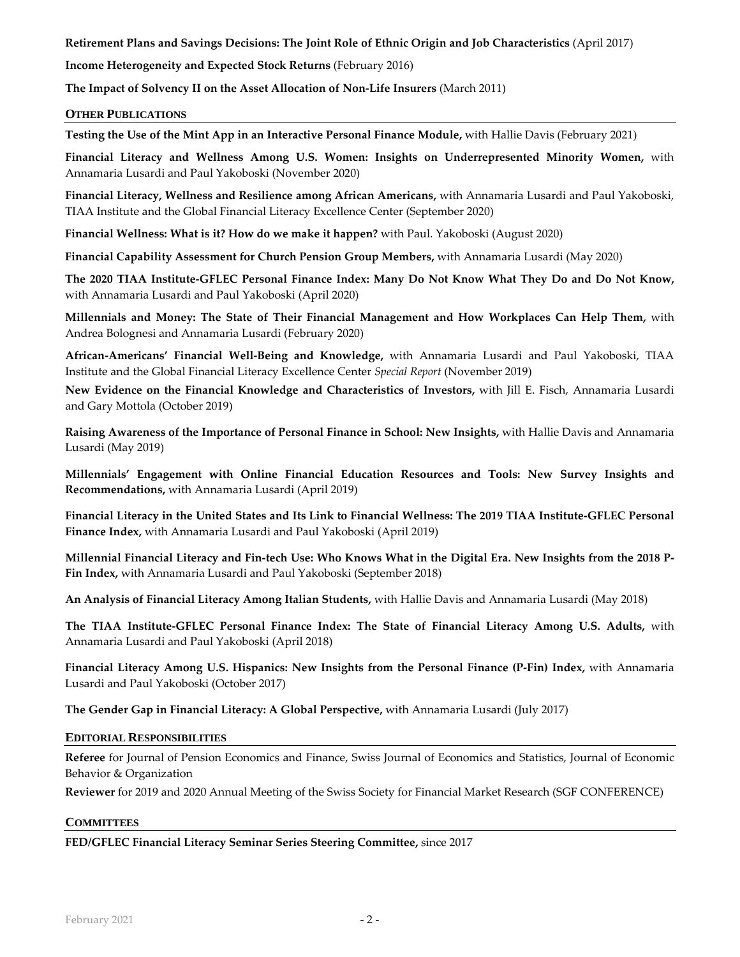**Retirement Plans and Savings Decisions: The Joint Role of Ethnic Origin and Job Characteristics** (April 2017)

**Income Heterogeneity and Expected Stock Returns** (February 2016)

**The Impact of Solvency II on the Asset Allocation of Non-Life Insurers** (March 2011)

#### **OTHER PUBLICATIONS**

**Testing the Use of the Mint App in an Interactive Personal Finance Module,** with Hallie Davis (February 2021)

**Financial Literacy and Wellness Among U.S. Women: Insights on Underrepresented Minority Women,** with Annamaria Lusardi and Paul Yakoboski (November 2020)

**Financial Literacy, Wellness and Resilience among African Americans,** with Annamaria Lusardi and Paul Yakoboski, TIAA Institute and the Global Financial Literacy Excellence Center (September 2020)

**Financial Wellness: What is it? How do we make it happen?** with Paul. Yakoboski (August 2020)

**Financial Capability Assessment for Church Pension Group Members,** with Annamaria Lusardi (May 2020)

**The 2020 TIAA Institute-GFLEC Personal Finance Index: Many Do Not Know What They Do and Do Not Know,**  with Annamaria Lusardi and Paul Yakoboski (April 2020)

**Millennials and Money: The State of Their Financial Management and How Workplaces Can Help Them,** with Andrea Bolognesi and Annamaria Lusardi (February 2020)

**African-Americans' Financial Well-Being and Knowledge,** with Annamaria Lusardi and Paul Yakoboski, TIAA Institute and the Global Financial Literacy Excellence Center *Special Report* (November 2019)

**New Evidence on the Financial Knowledge and Characteristics of Investors,** with Jill E. Fisch, Annamaria Lusardi and Gary Mottola (October 2019)

**Raising Awareness of the Importance of Personal Finance in School: New Insights,** with Hallie Davis and Annamaria Lusardi (May 2019)

**Millennials' Engagement with Online Financial Education Resources and Tools: New Survey Insights and Recommendations,** with Annamaria Lusardi (April 2019)

**Financial Literacy in the United States and Its Link to Financial Wellness: The 2019 TIAA Institute-GFLEC Personal Finance Index,** with Annamaria Lusardi and Paul Yakoboski (April 2019)

**Millennial Financial Literacy and Fin-tech Use: Who Knows What in the Digital Era. New Insights from the 2018 P-Fin Index,** with Annamaria Lusardi and Paul Yakoboski (September 2018)

**An Analysis of Financial Literacy Among Italian Students,** with Hallie Davis and Annamaria Lusardi (May 2018)

**The TIAA Institute-GFLEC Personal Finance Index: The State of Financial Literacy Among U.S. Adults,** with Annamaria Lusardi and Paul Yakoboski (April 2018)

**Financial Literacy Among U.S. Hispanics: New Insights from the Personal Finance (P-Fin) Index,** with Annamaria Lusardi and Paul Yakoboski (October 2017)

**The Gender Gap in Financial Literacy: A Global Perspective,** with Annamaria Lusardi (July 2017)

#### **EDITORIAL RESPONSIBILITIES**

**Referee** for Journal of Pension Economics and Finance, Swiss Journal of Economics and Statistics, Journal of Economic Behavior & Organization

**Reviewer** for 2019 and 2020 Annual Meeting of the Swiss Society for Financial Market Research (SGF CONFERENCE)

#### **COMMITTEES**

**FED/GFLEC Financial Literacy Seminar Series Steering Committee,** since 2017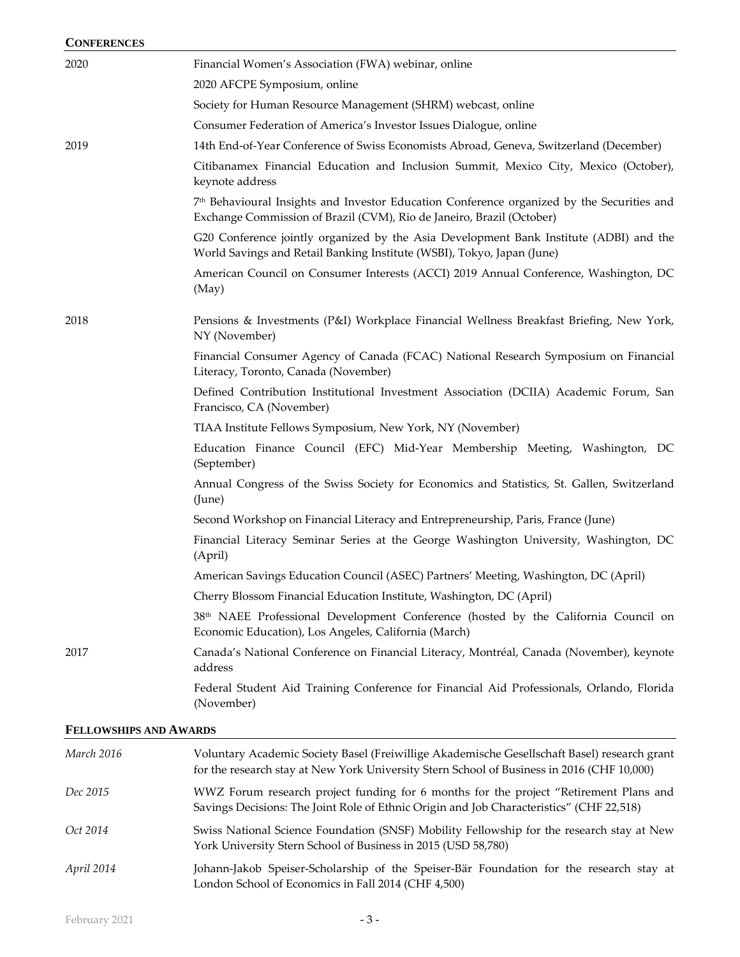| <b>CONFERENCES</b>            |                                                                                                                                                                                 |
|-------------------------------|---------------------------------------------------------------------------------------------------------------------------------------------------------------------------------|
| 2020                          | Financial Women's Association (FWA) webinar, online                                                                                                                             |
|                               | 2020 AFCPE Symposium, online                                                                                                                                                    |
|                               | Society for Human Resource Management (SHRM) webcast, online                                                                                                                    |
|                               | Consumer Federation of America's Investor Issues Dialogue, online                                                                                                               |
| 2019                          | 14th End-of-Year Conference of Swiss Economists Abroad, Geneva, Switzerland (December)                                                                                          |
|                               | Citibanamex Financial Education and Inclusion Summit, Mexico City, Mexico (October),<br>keynote address                                                                         |
|                               | 7 <sup>th</sup> Behavioural Insights and Investor Education Conference organized by the Securities and<br>Exchange Commission of Brazil (CVM), Rio de Janeiro, Brazil (October) |
|                               | G20 Conference jointly organized by the Asia Development Bank Institute (ADBI) and the<br>World Savings and Retail Banking Institute (WSBI), Tokyo, Japan (June)                |
|                               | American Council on Consumer Interests (ACCI) 2019 Annual Conference, Washington, DC<br>(May)                                                                                   |
| 2018                          | Pensions & Investments (P&I) Workplace Financial Wellness Breakfast Briefing, New York,<br>NY (November)                                                                        |
|                               | Financial Consumer Agency of Canada (FCAC) National Research Symposium on Financial<br>Literacy, Toronto, Canada (November)                                                     |
|                               | Defined Contribution Institutional Investment Association (DCIIA) Academic Forum, San<br>Francisco, CA (November)                                                               |
|                               | TIAA Institute Fellows Symposium, New York, NY (November)                                                                                                                       |
|                               | Education Finance Council (EFC) Mid-Year Membership Meeting, Washington, DC<br>(September)                                                                                      |
|                               | Annual Congress of the Swiss Society for Economics and Statistics, St. Gallen, Switzerland<br>(June)                                                                            |
|                               | Second Workshop on Financial Literacy and Entrepreneurship, Paris, France (June)                                                                                                |
|                               | Financial Literacy Seminar Series at the George Washington University, Washington, DC<br>(April)                                                                                |
|                               | American Savings Education Council (ASEC) Partners' Meeting, Washington, DC (April)                                                                                             |
|                               | Cherry Blossom Financial Education Institute, Washington, DC (April)                                                                                                            |
|                               | 38 <sup>th</sup> NAEE Professional Development Conference (hosted by the California Council on<br>Economic Education), Los Angeles, California (March)                          |
| 2017                          | Canada's National Conference on Financial Literacy, Montréal, Canada (November), keynote<br>address                                                                             |
|                               | Federal Student Aid Training Conference for Financial Aid Professionals, Orlando, Florida<br>(November)                                                                         |
| <b>FELLOWSHIPS AND AWARDS</b> |                                                                                                                                                                                 |
| March 2016                    | Voluntary Academic Society Basel (Freiwillige Akademische Gesellschaft Basel) research grant                                                                                    |

|            | for the research stay at New York University Stern School of Business in 2016 (CHF 10,000)                                                                                        |
|------------|-----------------------------------------------------------------------------------------------------------------------------------------------------------------------------------|
| Dec 2015   | WWZ Forum research project funding for 6 months for the project "Retirement Plans and<br>Savings Decisions: The Joint Role of Ethnic Origin and Job Characteristics" (CHF 22,518) |
| Oct 2014   | Swiss National Science Foundation (SNSF) Mobility Fellowship for the research stay at New<br>York University Stern School of Business in 2015 (USD 58,780)                        |
| April 2014 | Johann-Jakob Speiser-Scholarship of the Speiser-Bär Foundation for the research stay at<br>London School of Economics in Fall 2014 (CHF 4,500)                                    |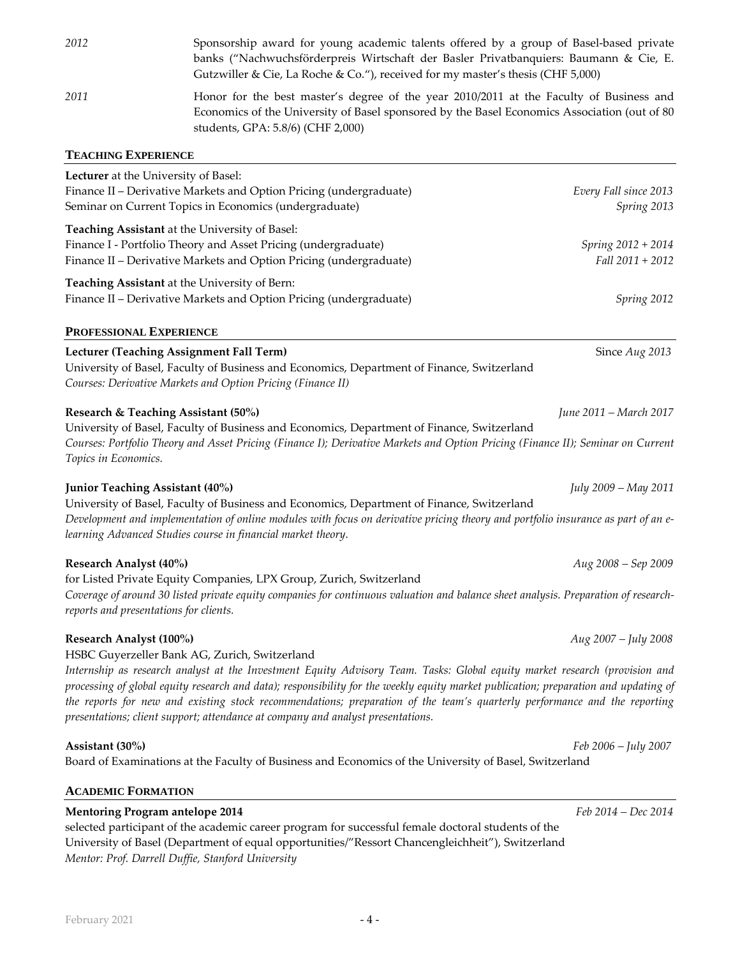| 2012                       | Sponsorship award for young academic talents offered by a group of Basel-based private<br>banks ("Nachwuchsförderpreis Wirtschaft der Basler Privatbanquiers: Baumann & Cie, E.<br>Gutzwiller & Cie, La Roche & Co."), received for my master's thesis (CHF 5,000) |
|----------------------------|--------------------------------------------------------------------------------------------------------------------------------------------------------------------------------------------------------------------------------------------------------------------|
| 2011                       | Honor for the best master's degree of the year 2010/2011 at the Faculty of Business and<br>Economics of the University of Basel sponsored by the Basel Economics Association (out of 80)<br>students, GPA: 5.8/6) (CHF 2,000)                                      |
| <b>TEACHING EXPERIENCE</b> |                                                                                                                                                                                                                                                                    |

| Lecturer at the University of Basel:<br>Finance II - Derivative Markets and Option Pricing (undergraduate)<br>Seminar on Current Topics in Economics (undergraduate)                                                                                                                                                               | Every Fall since 2013<br>Spring 2013   |
|------------------------------------------------------------------------------------------------------------------------------------------------------------------------------------------------------------------------------------------------------------------------------------------------------------------------------------|----------------------------------------|
| Teaching Assistant at the University of Basel:<br>Finance I - Portfolio Theory and Asset Pricing (undergraduate)<br>Finance II - Derivative Markets and Option Pricing (undergraduate)                                                                                                                                             | Spring 2012 + 2014<br>Fall 2011 + 2012 |
| Teaching Assistant at the University of Bern:<br>Finance II - Derivative Markets and Option Pricing (undergraduate)                                                                                                                                                                                                                | Spring 2012                            |
| <b>PROFESSIONAL EXPERIENCE</b>                                                                                                                                                                                                                                                                                                     |                                        |
| Lecturer (Teaching Assignment Fall Term)<br>University of Basel, Faculty of Business and Economics, Department of Finance, Switzerland<br>Courses: Derivative Markets and Option Pricing (Finance II)                                                                                                                              | Since Aug 2013                         |
| Research & Teaching Assistant (50%)<br>University of Basel, Faculty of Business and Economics, Department of Finance, Switzerland<br>Courses: Portfolio Theory and Asset Pricing (Finance I); Derivative Markets and Option Pricing (Finance II); Seminar on Current<br>Topics in Economics.                                       | June 2011 - March 2017                 |
| Junior Teaching Assistant (40%)<br>University of Basel, Faculty of Business and Economics, Department of Finance, Switzerland<br>Development and implementation of online modules with focus on derivative pricing theory and portfolio insurance as part of an e-<br>learning Advanced Studies course in financial market theory. | July 2009 - May 2011                   |
| Research Analyst (40%)<br>for Listed Private Equity Companies, LPX Group, Zurich, Switzerland<br>Coverage of around 30 listed private equity companies for continuous valuation and balance sheet analysis. Preparation of research-<br>reports and presentations for clients.                                                     | Aug 2008 - Sep 2009                    |
| Research Analyst (100%)<br>HSBC Guyerzeller Bank AG, Zurich, Switzerland                                                                                                                                                                                                                                                           | Aug 2007 - July 2008                   |

*Internship as research analyst at the Investment Equity Advisory Team. Tasks: Global equity market research (provision and processing of global equity research and data); responsibility for the weekly equity market publication; preparation and updating of the reports for new and existing stock recommendations; preparation of the team's quarterly performance and the reporting presentations; client support; attendance at company and analyst presentations.*

#### **Assistant (30%)** *Feb 2006 – July 2007* Board of Examinations at the Faculty of Business and Economics of the University of Basel, Switzerland

# **ACADEMIC FORMATION**

# **Mentoring Program antelope 2014** *Feb 2014 – Dec 2014*

selected participant of the academic career program for successful female doctoral students of the University of Basel (Department of equal opportunities/"Ressort Chancengleichheit"), Switzerland *Mentor: Prof. Darrell Duffie, Stanford University*